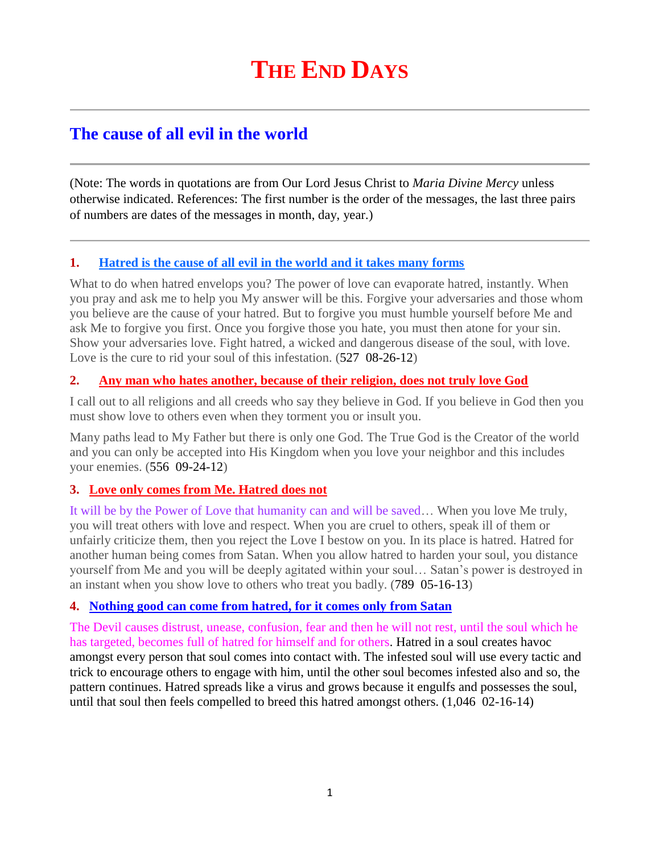# **The cause of all evil in the world**

(Note: The words in quotations are from Our Lord Jesus Christ to *Maria Divine Mercy* unless otherwise indicated. References: The first number is the order of the messages, the last three pairs of numbers are dates of the messages in month, day, year.)

## **1. [Hatred is the cause of all evil in the world and it takes many forms](http://www.thewarningsecondcoming.com/hatred-is-the-cause-of-all-evil-in-the-world-and-it-takes-many-forms/)**

What to do when hatred envelops you? The power of love can evaporate hatred, instantly. When you pray and ask me to help you My answer will be this. Forgive your adversaries and those whom you believe are the cause of your hatred. But to forgive you must humble yourself before Me and ask Me to forgive you first. Once you forgive those you hate, you must then atone for your sin. Show your adversaries love. Fight hatred, a wicked and dangerous disease of the soul, with love. Love is the cure to rid your soul of this infestation. (527 08-26-12)

# **2. Any man who hates another, [because of their religion, does not truly love God](http://www.thewarningsecondcoming.com/any-man-who-hates-another-because-of-their-religion-does-not-truly-love-god/)**

I call out to all religions and all creeds who say they believe in God. If you believe in God then you must show love to others even when they torment you or insult you.

Many paths lead to My Father but there is only one God. The True God is the Creator of the world and you can only be accepted into His Kingdom when you love your neighbor and this includes your enemies. (556 09-24-12)

# **3. [Love only comes from Me. Hatred does not](http://www.thewarningsecondcoming.com/love-only-comes-from-me-hatred-does-not/)**

It will be by the Power of Love that humanity can and will be saved… When you love Me truly, you will treat others with love and respect. When you are cruel to others, speak ill of them or unfairly criticize them, then you reject the Love I bestow on you. In its place is hatred. Hatred for another human being comes from Satan. When you allow hatred to harden your soul, you distance yourself from Me and you will be deeply agitated within your soul… Satan's power is destroyed in an instant when you show love to others who treat you badly. (789 05-16-13)

## **4. [Nothing good can come from hatred, for it comes only from Satan](http://www.thewarningsecondcoming.com/nothing-good-can-come-from-hatred-for-it-comes-only-from-satan/)**

The Devil causes distrust, unease, confusion, fear and then he will not rest, until the soul which he has targeted, becomes full of hatred for himself and for others. Hatred in a soul creates havoc amongst every person that soul comes into contact with. The infested soul will use every tactic and trick to encourage others to engage with him, until the other soul becomes infested also and so, the pattern continues. Hatred spreads like a virus and grows because it engulfs and possesses the soul, until that soul then feels compelled to breed this hatred amongst others. (1,046 02-16-14)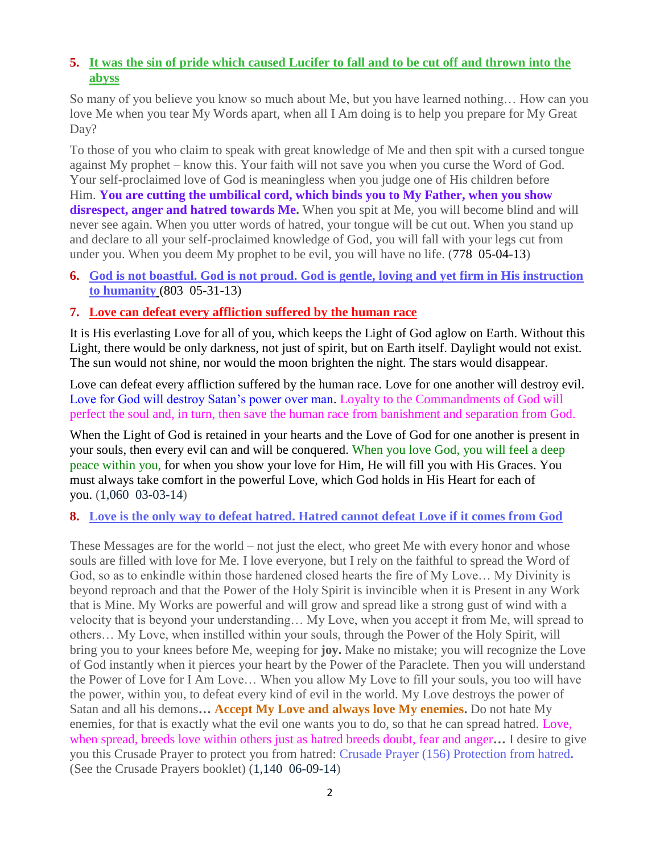# **5. [It was the sin of pride which caused Lucifer to fall and to be cut off and thrown into the](http://www.thewarningsecondcoming.com/it-was-the-sin-of-pride-which-caused-lucifer-to-fall-and-to-be-cut-off-and-thrown-into-the-abyss/)  [abyss](http://www.thewarningsecondcoming.com/it-was-the-sin-of-pride-which-caused-lucifer-to-fall-and-to-be-cut-off-and-thrown-into-the-abyss/)**

So many of you believe you know so much about Me, but you have learned nothing… How can you love Me when you tear My Words apart, when all I Am doing is to help you prepare for My Great Day?

To those of you who claim to speak with great knowledge of Me and then spit with a cursed tongue against My prophet – know this. Your faith will not save you when you curse the Word of God. Your self-proclaimed love of God is meaningless when you judge one of His children before Him. **You are cutting the umbilical cord, which binds you to My Father, when you show**  disrespect, anger and hatred towards Me. When you spit at Me, you will become blind and will never see again. When you utter words of hatred, your tongue will be cut out. When you stand up and declare to all your self-proclaimed knowledge of God, you will fall with your legs cut from under you. When you deem My prophet to be evil, you will have no life. (778 05-04-13)

**6. [God is not boastful. God is not proud. God is gentle, loving and yet firm in His instruction](http://www.thewarningsecondcoming.com/god-is-not-boastful-god-is-not-proud-god-is-gentle-loving-and-yet-firm-in-his-instruction-to-humanity/)  [to humanity](http://www.thewarningsecondcoming.com/god-is-not-boastful-god-is-not-proud-god-is-gentle-loving-and-yet-firm-in-his-instruction-to-humanity/)** (803 05-31-13)

#### **7. [Love can defeat every affliction suffered by the human race](http://www.thewarningsecondcoming.com/love-can-defeat-every-affliction-suffered-by-the-human-race/)**

It is His everlasting Love for all of you, which keeps the Light of God aglow on Earth. Without this Light, there would be only darkness, not just of spirit, but on Earth itself. Daylight would not exist. The sun would not shine, nor would the moon brighten the night. The stars would disappear.

Love can defeat every affliction suffered by the human race. Love for one another will destroy evil. Love for God will destroy Satan's power over man. Loyalty to the Commandments of God will perfect the soul and, in turn, then save the human race from banishment and separation from God.

When the Light of God is retained in your hearts and the Love of God for one another is present in your souls, then every evil can and will be conquered. When you love God, you will feel a deep peace within you, for when you show your love for Him, He will fill you with His Graces. You must always take comfort in the powerful Love, which God holds in His Heart for each of you. (1,060 03-03-14)

#### **8. [Love is the only way to defeat hatred. Hatred cannot defeat Love if it comes from God](http://www.thewarningsecondcoming.com/love-is-the-only-way-to-defeat-hatred-hatred-cannot-defeat-love-if-it-comes-from-god/)**

These Messages are for the world – not just the elect, who greet Me with every honor and whose souls are filled with love for Me. I love everyone, but I rely on the faithful to spread the Word of God, so as to enkindle within those hardened closed hearts the fire of My Love… My Divinity is beyond reproach and that the Power of the Holy Spirit is invincible when it is Present in any Work that is Mine. My Works are powerful and will grow and spread like a strong gust of wind with a velocity that is beyond your understanding… My Love, when you accept it from Me, will spread to others… My Love, when instilled within your souls, through the Power of the Holy Spirit, will bring you to your knees before Me, weeping for **joy.** Make no mistake; you will recognize the Love of God instantly when it pierces your heart by the Power of the Paraclete. Then you will understand the Power of Love for I Am Love… When you allow My Love to fill your souls, you too will have the power, within you, to defeat every kind of evil in the world. My Love destroys the power of Satan and all his demons**… Accept My Love and always love My enemies.** Do not hate My enemies, for that is exactly what the evil one wants you to do, so that he can spread hatred. Love, when spread, breeds love within others just as hatred breeds doubt, fear and anger**…** I desire to give you this Crusade Prayer to protect you from hatred: Crusade Prayer (156) Protection from hatred**.**  (See the Crusade Prayers booklet) (1,140 06-09-14)